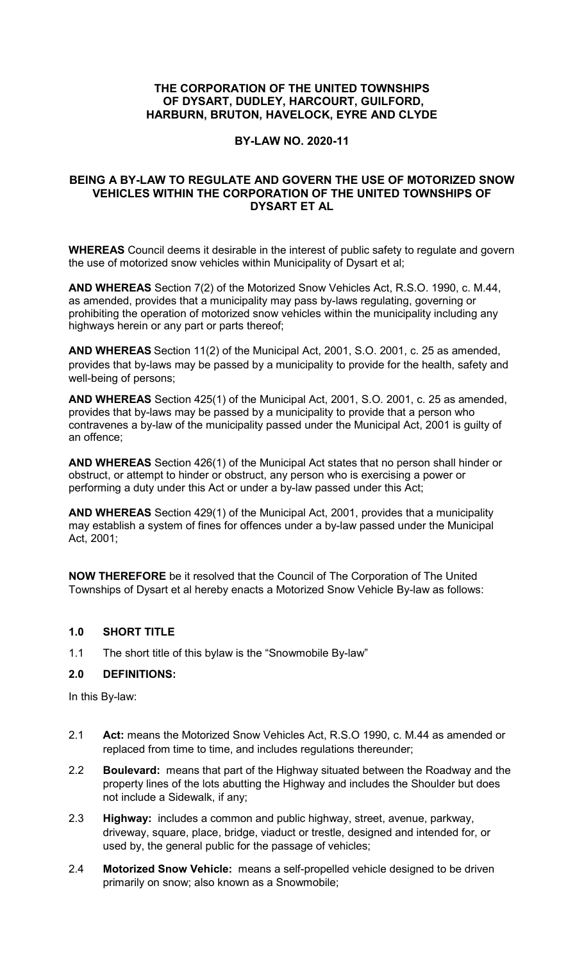## **THE CORPORATION OF THE UNITED TOWNSHIPS OF DYSART, DUDLEY, HARCOURT, GUILFORD, HARBURN, BRUTON, HAVELOCK, EYRE AND CLYDE**

#### **BY-LAW NO. 2020-11**

# **BEING A BY-LAW TO REGULATE AND GOVERN THE USE OF MOTORIZED SNOW VEHICLES WITHIN THE CORPORATION OF THE UNITED TOWNSHIPS OF DYSART ET AL**

**WHEREAS** Council deems it desirable in the interest of public safety to regulate and govern the use of motorized snow vehicles within Municipality of Dysart et al;

**AND WHEREAS** Section 7(2) of the Motorized Snow Vehicles Act, R.S.O. 1990, c. M.44, as amended, provides that a municipality may pass by-laws regulating, governing or prohibiting the operation of motorized snow vehicles within the municipality including any highways herein or any part or parts thereof;

**AND WHEREAS** Section 11(2) of the Municipal Act, 2001, S.O. 2001, c. 25 as amended, provides that by-laws may be passed by a municipality to provide for the health, safety and well-being of persons;

**AND WHEREAS** Section 425(1) of the Municipal Act, 2001, S.O. 2001, c. 25 as amended, provides that by-laws may be passed by a municipality to provide that a person who contravenes a by-law of the municipality passed under the Municipal Act, 2001 is guilty of an offence;

**AND WHEREAS** Section 426(1) of the Municipal Act states that no person shall hinder or obstruct, or attempt to hinder or obstruct, any person who is exercising a power or performing a duty under this Act or under a by-law passed under this Act;

**AND WHEREAS** Section 429(1) of the Municipal Act, 2001, provides that a municipality may establish a system of fines for offences under a by-law passed under the Municipal Act, 2001;

**NOW THEREFORE** be it resolved that the Council of The Corporation of The United Townships of Dysart et al hereby enacts a Motorized Snow Vehicle By-law as follows:

#### **1.0 SHORT TITLE**

1.1 The short title of this bylaw is the "Snowmobile By-law"

#### **2.0 DEFINITIONS:**

In this By-law:

- 2.1 **Act:** means the Motorized Snow Vehicles Act, R.S.O 1990, c. M.44 as amended or replaced from time to time, and includes regulations thereunder;
- 2.2 **Boulevard:** means that part of the Highway situated between the Roadway and the property lines of the lots abutting the Highway and includes the Shoulder but does not include a Sidewalk, if any;
- 2.3 **Highway:** includes a common and public highway, street, avenue, parkway, driveway, square, place, bridge, viaduct or trestle, designed and intended for, or used by, the general public for the passage of vehicles;
- 2.4 **Motorized Snow Vehicle:** means a self-propelled vehicle designed to be driven primarily on snow; also known as a Snowmobile;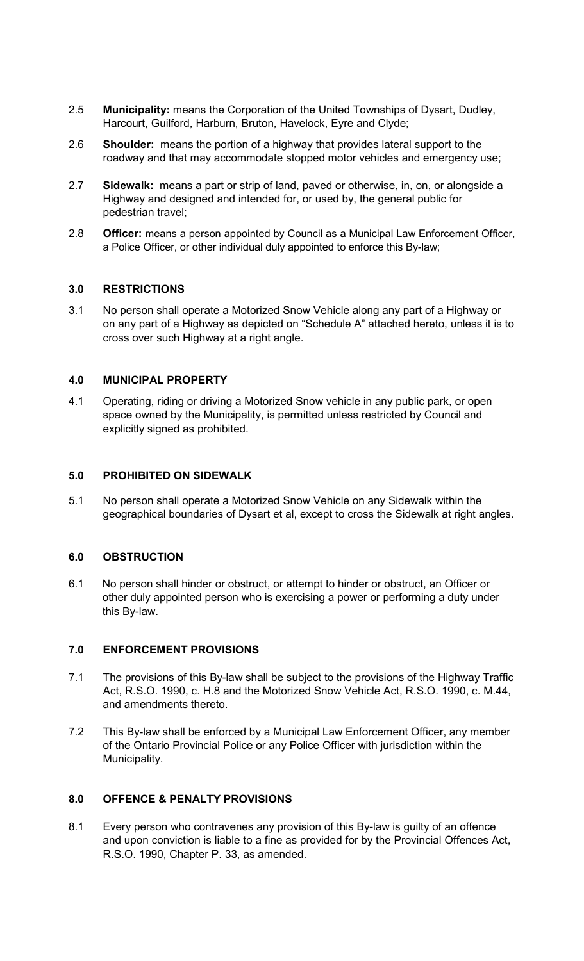- 2.5 **Municipality:** means the Corporation of the United Townships of Dysart, Dudley, Harcourt, Guilford, Harburn, Bruton, Havelock, Eyre and Clyde;
- 2.6 **Shoulder:** means the portion of a highway that provides lateral support to the roadway and that may accommodate stopped motor vehicles and emergency use;
- 2.7 **Sidewalk:** means a part or strip of land, paved or otherwise, in, on, or alongside a Highway and designed and intended for, or used by, the general public for pedestrian travel;
- 2.8 **Officer:** means a person appointed by Council as a Municipal Law Enforcement Officer, a Police Officer, or other individual duly appointed to enforce this By-law;

## **3.0 RESTRICTIONS**

3.1 No person shall operate a Motorized Snow Vehicle along any part of a Highway or on any part of a Highway as depicted on "Schedule A" attached hereto, unless it is to cross over such Highway at a right angle.

## **4.0 MUNICIPAL PROPERTY**

4.1 Operating, riding or driving a Motorized Snow vehicle in any public park, or open space owned by the Municipality, is permitted unless restricted by Council and explicitly signed as prohibited.

#### **5.0 PROHIBITED ON SIDEWALK**

5.1 No person shall operate a Motorized Snow Vehicle on any Sidewalk within the geographical boundaries of Dysart et al, except to cross the Sidewalk at right angles.

# **6.0 OBSTRUCTION**

6.1 No person shall hinder or obstruct, or attempt to hinder or obstruct, an Officer or other duly appointed person who is exercising a power or performing a duty under this By-law.

#### **7.0 ENFORCEMENT PROVISIONS**

- 7.1 The provisions of this By-law shall be subject to the provisions of the Highway Traffic Act, R.S.O. 1990, c. H.8 and the Motorized Snow Vehicle Act, R.S.O. 1990, c. M.44, and amendments thereto.
- 7.2 This By-law shall be enforced by a Municipal Law Enforcement Officer, any member of the Ontario Provincial Police or any Police Officer with jurisdiction within the Municipality.

# **8.0 OFFENCE & PENALTY PROVISIONS**

8.1 Every person who contravenes any provision of this By-law is guilty of an offence and upon conviction is liable to a fine as provided for by the Provincial Offences Act, R.S.O. 1990, Chapter P. 33, as amended.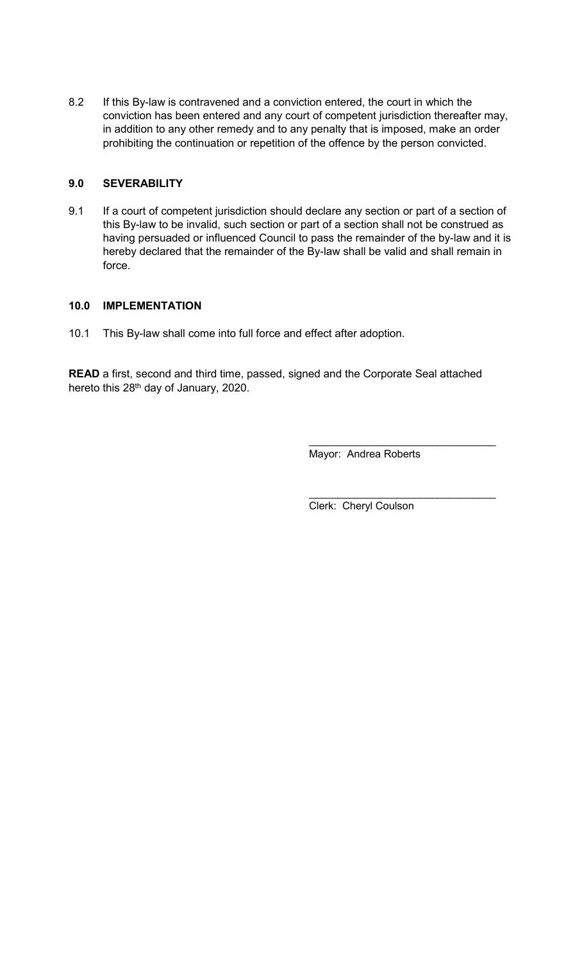8.2 If this By-law is contravened and a conviction entered, the court in which the conviction has been entered and any court of competent jurisdiction thereafter may, in addition to any other remedy and to any penalty that is imposed, make an order prohibiting the continuation or repetition of the offence by the person convicted.

# **9.0 SEVERABILITY**

9.1 If a court of competent jurisdiction should declare any section or part of a section of this By-law to be invalid, such section or part of a section shall not be construed as having persuaded or influenced Council to pass the remainder of the by-law and it is hereby declared that the remainder of the By-law shall be valid and shall remain in force.

#### **10.0 IMPLEMENTATION**

10.1 This By-law shall come into full force and effect after adoption.

**READ** a first, second and third time, passed, signed and the Corporate Seal attached hereto this 28<sup>th</sup> day of January, 2020.

Mayor: Andrea Roberts

 $\_$ 

 $\_$ 

Clerk: Cheryl Coulson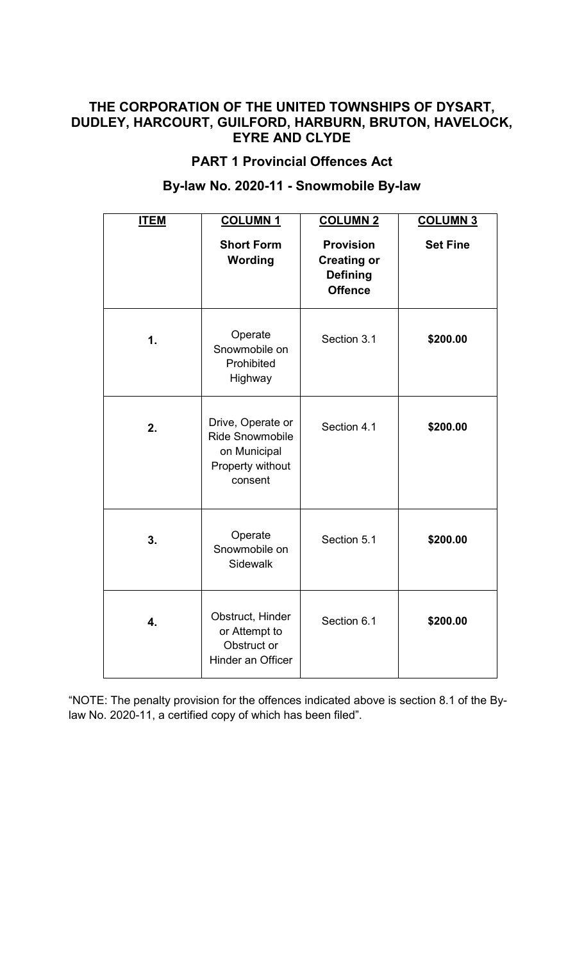# **THE CORPORATION OF THE UNITED TOWNSHIPS OF DYSART, DUDLEY, HARCOURT, GUILFORD, HARBURN, BRUTON, HAVELOCK, EYRE AND CLYDE**

# **PART 1 Provincial Offences Act**

# **By-law No. 2020-11 - Snowmobile By-law**

| <b>ITEM</b>   | <b>COLUMN1</b>                                                                             | <b>COLUMN 2</b>                                                             | <b>COLUMN 3</b> |
|---------------|--------------------------------------------------------------------------------------------|-----------------------------------------------------------------------------|-----------------|
|               | <b>Short Form</b><br>Wording                                                               | <b>Provision</b><br><b>Creating or</b><br><b>Defining</b><br><b>Offence</b> | <b>Set Fine</b> |
| $\mathbf 1$ . | Operate<br>Snowmobile on<br>Prohibited<br>Highway                                          | Section 3.1                                                                 | \$200.00        |
| 2.            | Drive, Operate or<br><b>Ride Snowmobile</b><br>on Municipal<br>Property without<br>consent | Section 4.1                                                                 | \$200.00        |
| 3.            | Operate<br>Snowmobile on<br>Sidewalk                                                       | Section 5.1                                                                 | \$200.00        |
| 4.            | Obstruct, Hinder<br>or Attempt to<br>Obstruct or<br>Hinder an Officer                      | Section 6.1                                                                 | \$200.00        |

"NOTE: The penalty provision for the offences indicated above is section 8.1 of the Bylaw No. 2020-11, a certified copy of which has been filed".